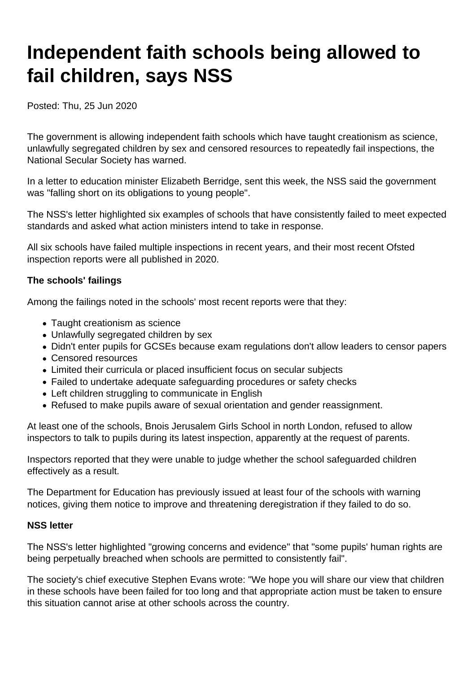# **Independent faith schools being allowed to fail children, says NSS**

Posted: Thu, 25 Jun 2020

The government is allowing independent faith schools which have taught creationism as science, unlawfully segregated children by sex and censored resources to repeatedly fail inspections, the National Secular Society has warned.

In a letter to education minister Elizabeth Berridge, sent this week, the NSS said the government was "falling short on its obligations to young people".

The NSS's letter highlighted six examples of schools that have consistently failed to meet expected standards and asked what action ministers intend to take in response.

All six schools have failed multiple inspections in recent years, and their most recent Ofsted inspection reports were all published in 2020.

#### **The schools' failings**

Among the failings noted in the schools' most recent reports were that they:

- Taught creationism as science
- Unlawfully segregated children by sex
- Didn't enter pupils for GCSEs because exam regulations don't allow leaders to censor papers
- Censored resources
- Limited their curricula or placed insufficient focus on secular subjects
- Failed to undertake adequate safeguarding procedures or safety checks
- Left children struggling to communicate in English
- Refused to make pupils aware of sexual orientation and gender reassignment.

At least one of the schools, Bnois Jerusalem Girls School in north London, refused to allow inspectors to talk to pupils during its latest inspection, apparently at the request of parents.

Inspectors reported that they were unable to judge whether the school safeguarded children effectively as a result.

The Department for Education has previously issued at least four of the schools with warning notices, giving them notice to improve and threatening deregistration if they failed to do so.

#### **NSS letter**

The NSS's letter highlighted "growing concerns and evidence" that "some pupils' human rights are being perpetually breached when schools are permitted to consistently fail".

The society's chief executive Stephen Evans wrote: "We hope you will share our view that children in these schools have been failed for too long and that appropriate action must be taken to ensure this situation cannot arise at other schools across the country.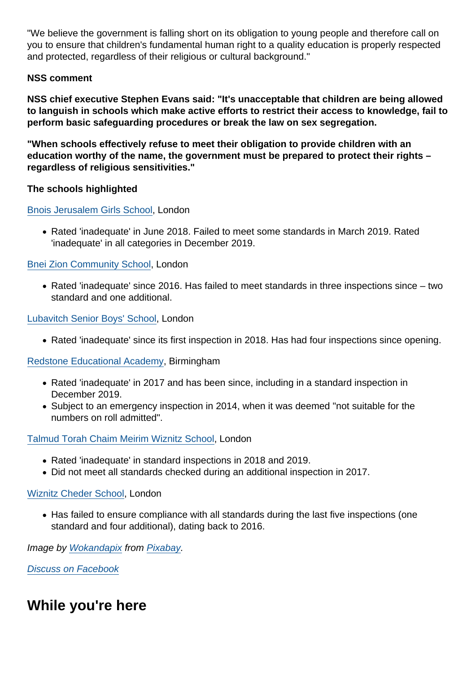"We believe the government is falling short on its obligation to young people and therefore call on you to ensure that children's fundamental human right to a quality education is properly respected and protected, regardless of their religious or cultural background."

#### NSS comment

NSS chief executive Stephen Evans said: "It's unacceptable that children are being allowed to languish in schools which make active efforts to restrict their access to knowledge, fail to perform basic safeguarding procedures or break the law on sex segregation.

"When schools effectively refuse to meet their obligation to provide children with an education worthy of the name, the government must be prepared to protect their rights – regardless of religious sensitivities."

The schools highlighted

[Bnois Jerusalem Girls School,](https://reports.ofsted.gov.uk/provider/27/100291) London

Rated 'inadequate' in June 2018. Failed to meet some standards in March 2019. Rated 'inadequate' in all categories in December 2019.

#### [Bnei Zion Community School,](https://reports.ofsted.gov.uk/provider/27/137318) London

Rated 'inadequate' since 2016. Has failed to meet standards in three inspections since – two standard and one additional.

[Lubavitch Senior Boys' School,](https://reports.ofsted.gov.uk/provider/27/144363) London

• Rated 'inadequate' since its first inspection in 2018. Has had four inspections since opening.

#### [Redstone Educational Academy,](https://reports.ofsted.gov.uk/provider/27/137560) Birmingham

- Rated 'inadequate' in 2017 and has been since, including in a standard inspection in December 2019.
- Subject to an emergency inspection in 2014, when it was deemed "not suitable for the numbers on roll admitted".

[Talmud Torah Chaim Meirim Wiznitz School](https://reports.ofsted.gov.uk/provider/27/100296), London

- Rated 'inadequate' in standard inspections in 2018 and 2019.
- Did not meet all standards checked during an additional inspection in 2017.

#### [Wiznitz Cheder School](https://reports.ofsted.gov.uk/provider/27/137809), London

• Has failed to ensure compliance with all standards during the last five inspections (one standard and four additional), dating back to 2016.

Image by [Wokandapix](https://pixabay.com/users/wokandapix-614097/) from [Pixabay](https://pixabay.com/).

[Discuss on Facebook](https://www.facebook.com/NationalSecularSociety/posts/3080334948701502?__xts__[0]=68.ARCzcbDSQJsjlrmReFFEE7Ys_xdIcZTYhBl4U0UNixwsuKSf9CSmUdXD_itmIz9jz-IR7QJDRPozdHgwXzxe9APim4ocKtfcyDeUyf1eUwUksf9oYhTWOKeypZe9unwU6PvXuvsj2kQhE8UFhng1jxLinoD3aSsL0GkgkSROrrXKj7afo9TybgGW7R6X4lGSh_BxT7xLLkLy5bB4yvraJEDqmpqPARahmp8M8kw0hbNa0tUW8lijFjMzVOT-RygScBXE2AYtGNYk89yUfpDz73m5hOfjVgC3vI5hbkLJr0sfReIrswycGesCLrSpx2XGSr_h6RwHqWO6dIhlVISgCSKdOA&__tn__=-R)

While you're here